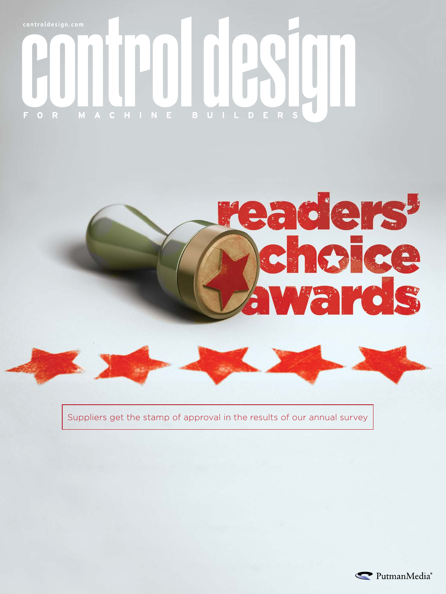# $\circ$ F.



Suppliers get the stamp of approval in the results of our annual survey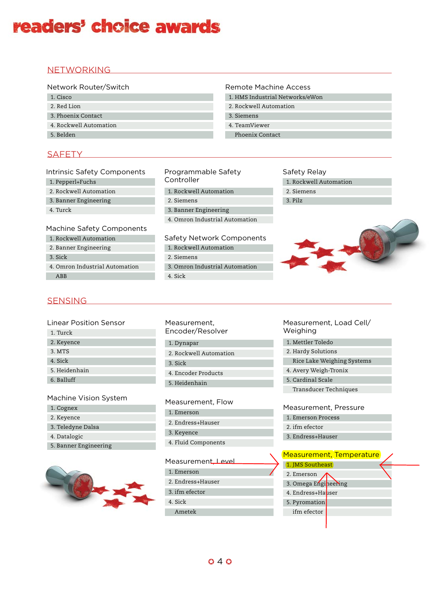## **SENSING**

Linear Position Sensor

1. Turck

2. Keyence 3. MTS

4. Sick

5. Heidenhain

6. Balluff

## Machine Vision System

- 1. Cognex
- 2. Keyence
- 3. Teledyne Dalsa
- 4. Datalogic
- 5. Banner Engineering



| Measurement,     |
|------------------|
| Encoder/Resolver |

- 1. Dynapar
- 2. Rockwell Automation
- 3. Sick
- 4. Encoder Products
- 5. Heidenhain

#### Measurement, Flow

- 1. Emerson
- 2. Endress+Hauser
- 3. Keyence
- 4. Fluid Components

#### Measurement, Level

- 1. Emerson
- 2. Endress+Hauser
- 3. ifm efector
- 4. Sick
	- Ametek

#### Measurement, Load Cell/ Weighing

- 1. Mettler Toledo
- 2. Hardy Solutions
- Rice Lake Weighing Systems
- 4. Avery Weigh-Tronix
- 5. Cardinal Scale
	- Transducer Techniques

## Measurement, Pressure

- 1. Emerson Process
- 2. ifm efector
- 3. Endress+Hauser

|                      | Measurement, Temperature |
|----------------------|--------------------------|
| 1. JMS Southeast     |                          |
| 2. Emerson           |                          |
| 3. Omega Engineering |                          |
| 4. Endress+Hauser    |                          |
| 5. Pyromation        |                          |
| ifm efector          |                          |
|                      |                          |